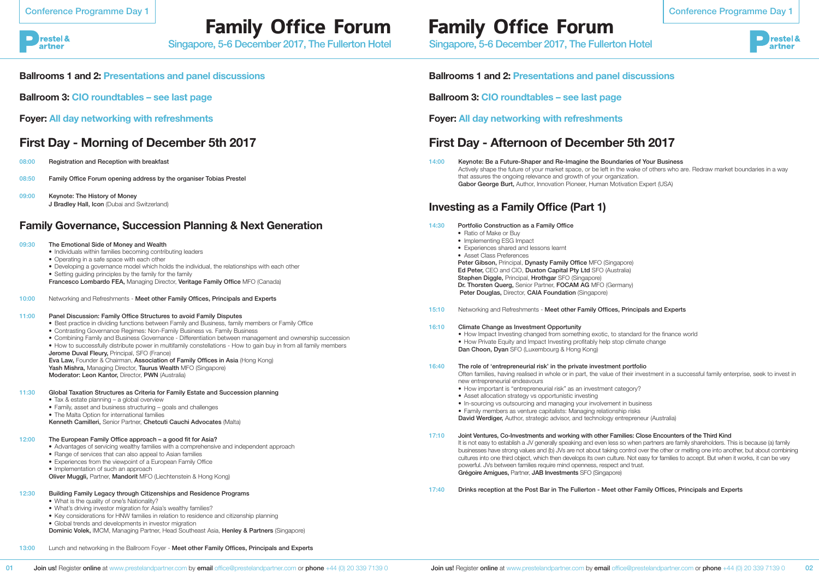restel &

artner

# **Family Office Forum**

Singapore, 5-6 December 2017, The Fullerton Hotel

09:00 Keynote: The History of Money J Bradley Hall, Icon (Dubai and Switzerland)



## **Ballrooms 1 and 2: Presentations and panel discussions**

**Ballroom 3: CIO roundtables – see last page** 

**Foyer: All day networking with refreshments**

## **First Day - Morning of December 5th 2017**

- 08:00 Registration and Reception with breakfast
- 08:50 Family Office Forum opening address by the organiser Tobias Prestel

## **Family Governance, Succession Planning & Next Generation**

| <b>Family Governance, Succession Planning &amp; Next Generation</b> |                                                                                                                                                                                                                                                                                                                                                                                                                                                                                                                                         | 14:30 | Portfolio Construction as a Family Office<br>• Ratio of Make or Buy                                                                                                                                                                                                                                                                                                                                                                                |
|---------------------------------------------------------------------|-----------------------------------------------------------------------------------------------------------------------------------------------------------------------------------------------------------------------------------------------------------------------------------------------------------------------------------------------------------------------------------------------------------------------------------------------------------------------------------------------------------------------------------------|-------|----------------------------------------------------------------------------------------------------------------------------------------------------------------------------------------------------------------------------------------------------------------------------------------------------------------------------------------------------------------------------------------------------------------------------------------------------|
| 09:30<br>10:00                                                      | The Emotional Side of Money and Wealth<br>• Individuals within families becoming contributing leaders<br>• Operating in a safe space with each other<br>• Developing a governance model which holds the individual, the relationships with each other<br>• Setting guiding principles by the family for the family<br>Francesco Lombardo FEA, Managing Director, Veritage Family Office MFO (Canada)<br>Networking and Refreshments - Meet other Family Offices, Principals and Experts                                                 |       | • Implementing ESG Impact<br>• Experiences shared and lessons learnt<br>• Asset Class Preferences<br>Peter Gibson, Principal, Dynasty Family Office MFO (Singapore)<br>Ed Peter, CEO and CIO, Duxton Capital Pty Ltd SFO (Australia)<br>Stephen Diggle, Principal, Hrothgar SFO (Singapore)<br>Dr. Thorsten Querg, Senior Partner, FOCAM AG MFO (Germany)<br>Peter Douglas, Director, CAIA Foundation (Singapore)                                  |
|                                                                     |                                                                                                                                                                                                                                                                                                                                                                                                                                                                                                                                         | 15:10 | Networking and Refreshments - Meet other Family Offices, Princip                                                                                                                                                                                                                                                                                                                                                                                   |
| 11:00                                                               | Panel Discussion: Family Office Structures to avoid Family Disputes<br>• Best practice in dividing functions between Family and Business, family members or Family Office<br>• Contrasting Governance Regimes: Non-Family Business vs. Family Business<br>• Combining Family and Business Governance - Differentiation between management and ownership succession<br>• How to successfully distribute power in multifamily constellations - How to gain buy in from all family members<br>Jerome Duval Fleury, Principal, SFO (France) | 16:10 | Climate Change as Investment Opportunity<br>• How Impact Investing changed from something exotic, to standard<br>• How Private Equity and Impact Investing profitably help stop clima<br>Dan Choon, Dyan SFO (Luxembourg & Hong Kong)                                                                                                                                                                                                              |
|                                                                     | Eva Law, Founder & Chairman, Association of Family Offices in Asia (Hong Kong)<br>Yash Mishra, Managing Director, Taurus Wealth MFO (Singapore)<br>Moderator: Leon Kantor, Director, PWN (Australia)                                                                                                                                                                                                                                                                                                                                    | 16:40 | The role of 'entrepreneurial risk' in the private investment portfo<br>Often families, having realised in whole or in part, the value of their in<br>new entrepreneurial endeavours                                                                                                                                                                                                                                                                |
| 11:30                                                               | Global Taxation Structures as Criteria for Family Estate and Succession planning<br>• Tax & estate planning - a global overview<br>• Family, asset and business structuring - goals and challenges<br>• The Malta Option for international families<br>Kenneth Camilleri, Senior Partner, Chetcuti Cauchi Advocates (Malta)                                                                                                                                                                                                             |       | • How important is "entrepreneurial risk" as an investment category?<br>• Asset allocation strategy vs opportunistic investing<br>• In-sourcing vs outsourcing and managing your involvement in busi<br>• Family members as venture capitalists: Managing relationship risks<br>David Werdiger, Author, strategic advisor, and technology entreprent                                                                                               |
| 12:00                                                               | The European Family Office approach - a good fit for Asia?<br>• Advantages of servicing wealthy families with a comprehensive and independent approach<br>• Range of services that can also appeal to Asian families<br>• Experiences from the viewpoint of a European Family Office<br>• Implementation of such an approach<br>Oliver Muggli, Partner, Mandorit MFO (Liechtenstein & Hong Kong)                                                                                                                                        | 17:10 | Joint Ventures, Co-Investments and working with other Families: C<br>It is not easy to establish a JV generally speaking and even less so where<br>businesses have strong values and (b) JVs are not about taking control of<br>cultures into one third object, which then develops its own culture. Not a<br>powerful. JVs between families require mind openness, respect and trus<br>Grégoire Amigues, Partner, JAB Investments SFO (Singapore) |
| 12:30                                                               | Building Family Legacy through Citizenships and Residence Programs<br>• What is the quality of one's Nationality?<br>• What's driving investor migration for Asia's wealthy families?<br>• Key considerations for HNW families in relation to residence and citizenship planning                                                                                                                                                                                                                                                        | 17:40 | Drinks reception at the Post Bar in The Fullerton - Meet other Fa                                                                                                                                                                                                                                                                                                                                                                                  |

- Key considerations for HNW families in relation to residence and citizenship planning
- Global trends and developments in investor migration
- Dominic Volek, IMCM, Managing Partner, Head Southeast Asia, Henley & Partners (Singapore)

13:00 Lunch and networking in the Ballroom Foyer - Meet other Family Offices, Principals and Experts

**Ballrooms 1 and 2: Presentations and panel discussions**

**Ballroom 3: CIO roundtables – see last page** 

**Foyer: All day networking with refreshments**

## **First Day - Afternoon of December 5th 2017**

Actively shape the future of your market space, or be left in the wake of others who are. Redraw market boundaries in a way

### Principals and Experts

tandard for the finance world p climate change

### portfolio

their investment in a successful family enterprise, seek to invest in

tegory?

in-business ntrepreneur (Australia)

### illies: Close Encounters of the Third Kind

so when partners are family shareholders. This is because (a) family control over the other or melting one into another, but about combining re. Not easy for families to accept. But when it works, it can be very and trust.

### other Family Offices, Principals and Experts

14:00 Keynote: Be a Future-Shaper and Re-Imagine the Boundaries of Your Business that assures the ongoing relevance and growth of your organization. Gabor George Burt, Author, Innovation Pioneer, Human Motivation Expert (USA)

## **Investing as a Family Office (Part 1)**

**Family Office Forum**

Singapore, 5-6 December 2017, The Fullerton Hotel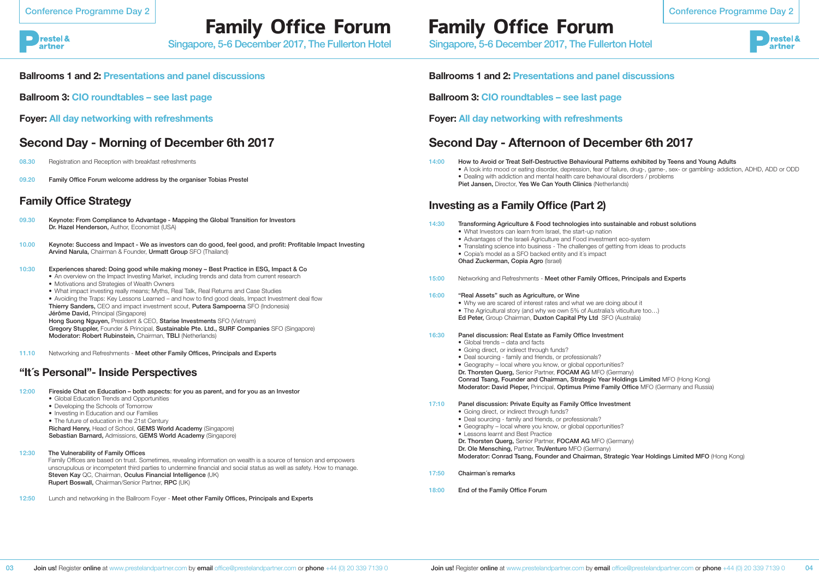restel & artner

# **Family Office Forum**

Singapore, 5-6 December 2017, The Fullerton Hotel

- 08.30 Registration and Reception with breakfast refreshments
- 09.20 Family Office Forum welcome address by the organiser Tobias Prestel

## **Ballrooms 1 and 2: Presentations and panel discussions**

**Ballroom 3: CIO roundtables – see last page** 

**Foyer: All day networking with refreshments**

## **Second Day - Morning of December 6th 2017**

## **Family Office Strategy**

- 09.30 Keynote: From Compliance to Advantage Mapping the Global Transition for Investors Dr. Hazel Henderson, Author, Economist (USA)
- 10.00 Keynote: Success and Impact We as investors can do good, feel good, and profit: Profitable Impact Investing Arvind Narula, Chairman & Founder, Urmatt Group SFO (Thailand)

### 10:30 Experiences shared: Doing good while making money – Best Practice in ESG, Impact & Co

- An overview on the Impact Investing Market, including trends and data from current research • Motivations and Strategies of Wealth Owners
- What impact investing really means; Myths, Real Talk, Real Returns and Case Studies
- Avoiding the Traps: Key Lessons Learned and how to find good deals, Impact Investment deal flow Thierry Sanders, CEO and impact investment scout, Putera Sampoerna SFO (Indonesia) Jérôme David, Principal (Singapore) Hong Suong Nguyen, President & CEO, Starise Investments SFO (Vietnam)
- 
- Dealing with addiction and mental health care behavioural disorders / problems Piet Jansen, Director, Yes We Can Youth Clinics (Netherlands)

Gregory Stuppler, Founder & Principal, Sustainable Pte. Ltd., SURF Companies SFO (Singapore) Moderator: Robert Rubinstein, Chairman, TBLI (Netherlands)

11.10 Networking and Refreshments - Meet other Family Offices. Principals and Experts

## **"It´s Personal"- Inside Perspectives**

- 12:00 Fireside Chat on Education both aspects: for you as parent, and for you as an Investor
	- Global Education Trends and Opportunities
	- Developing the Schools of Tomorrow
	- Investing in Education and our Families
	- The future of education in the 21st Century

Richard Henry, Head of School, GEMS World Academy (Singapore) Sebastian Barnard, Admissions, GEMS World Academy (Singapore)

### 12:30 The Vulnerability of Family Offices

Family Offices are based on trust. Sometimes, revealing information on wealth is a source of tension and empowers unscrupulous or incompetent third parties to undermine financial and social status as well as safety. How to manage. Steven Kay QC, Chairman, Oculus Financial Intelligence (UK) Rupert Boswall, Chairman/Senior Partner, RPC (UK)

12:50 Lunch and networking in the Ballroom Foyer - Meet other Family Offices, Principals and Experts

**Ballrooms 1 and 2: Presentations and panel discussions**

**Ballroom 3: CIO roundtables – see last page** 

**Foyer: All day networking with refreshments**

## **Second Day - Afternoon of December 6th 2017**

14:00 How to Avoid or Treat Self-Destructive Behavioural Patterns exhibited by Teens and Young Adults

• A look into mood or eating disorder, depression, fear of failure, drug-, game-, sex- or gambling- addiction, ADHD, ADD or ODD

## **Investing as a Family Office (Part 2)**

- 14:30 Transforming Agriculture & Food technologies into sustainable and robust solutions
	- What Investors can learn from Israel, the start-up nation
	- Advantages of the Israeli Agriculture and Food investment eco-system
	- Translating science into business The challenges of getting from ideas to products
	- Copia's model as a SFO backed entity and it's impact Ohad Zuckerman, Copia Agro (Israel)
	-
- 15:00 Networking and Refreshments Meet other Family Offices, Principals and Experts

### 16:00 "Real Assets" such as Agriculture, or Wine

• Why we are scared of interest rates and what we are doing about it

• The Agricultural story (and why we own 5% of Australia's viticulture too…) Ed Peter, Group Chairman, Duxton Capital Pty Ltd SFO (Australia)

### 16:30 Panel discussion: Real Estate as Family Office Investment

- Global trends data and facts
- Going direct, or indirect through funds?
- Deal sourcing family and friends, or professionals?
- 

• Geography – local where you know, or global opportunities? Dr. Thorsten Querg, Senior Partner, FOCAM AG MFO (Germany) Conrad Tsang, Founder and Chairman, Strategic Year Holdings Limited MFO (Hong Kong) Moderator: David Pieper, Principal, Optimus Prime Family Office MFO (Germany and Russia)

- 17:10 Panel discussion: Private Equity as Family Office Investment
	- Going direct, or indirect through funds?
	- Deal sourcing family and friends, or professionals?
	- Geography local where you know, or global opportunities?
	- Lessons learnt and Best Practice

Dr. Thorsten Querg, Senior Partner, FOCAM AG MFO (Germany) Dr. Ole Mensching, Partner, TruVenturo MFO (Germany) Moderator: Conrad Tsang, Founder and Chairman, Strategic Year Holdings Limited MFO (Hong Kong)

- 17:50 Chairman´s remarks
- 18:00 End of the Family Office Forum



# **Family Office Forum**

Singapore, 5-6 December 2017, The Fullerton Hotel